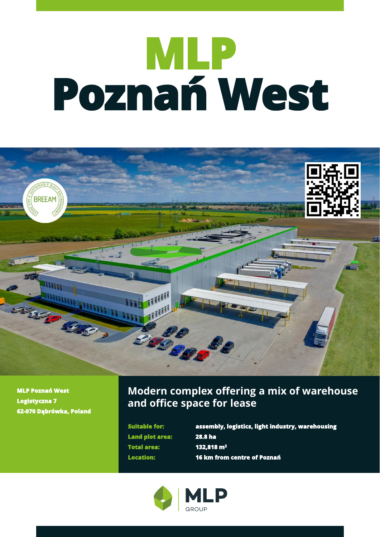# **MLP Poznań West**



**MLP Poznań West Logistyczna 7 62-070 Dąbrówka, Poland**

# **Modern complex offering a mix of warehouse and office space for lease**

**Land plot area: 28.8 ha Total area: 132,818 m<sup>2</sup>**

**Suitable for: assembly, logistics, light industry, warehousing Location: 16 km from centre of Poznań**